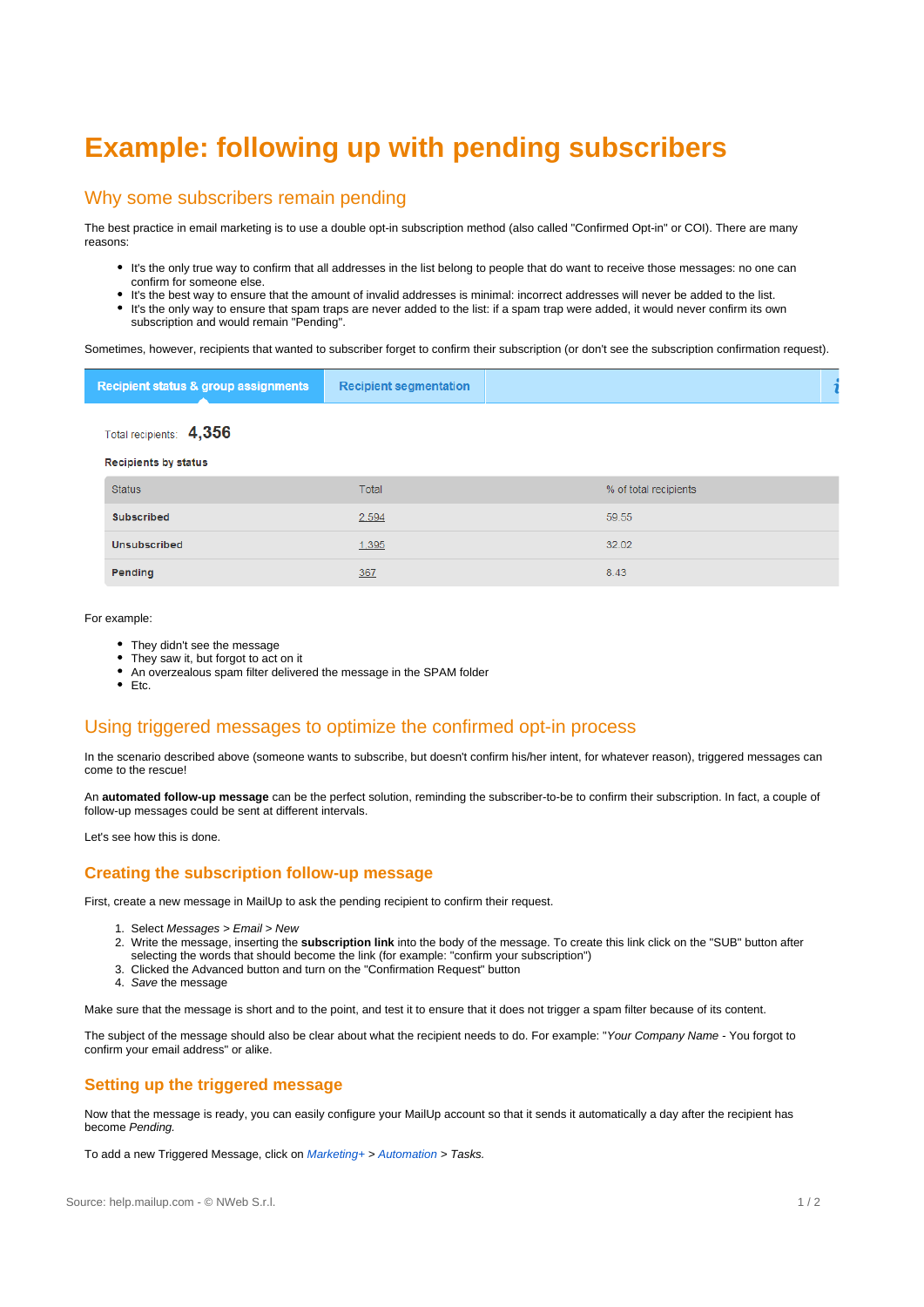# **Example: following up with pending subscribers**

## Why some subscribers remain pending

The best practice in email marketing is to use a double opt-in subscription method (also called "Confirmed Opt-in" or COI). There are many reasons:

- It's the only true way to confirm that all addresses in the list belong to people that do want to receive those messages: no one can confirm for someone else.
- It's the best way to ensure that the amount of invalid addresses is minimal: incorrect addresses will never be added to the list. It's the only way to ensure that spam traps are never added to the list: if a spam trap were added, it would never confirm its own subscription and would remain "Pending".

Sometimes, however, recipients that wanted to subscriber forget to confirm their subscription (or don't see the subscription confirmation request).

| Recipient status & group assignments | <b>Recipient segmentation</b> |  |
|--------------------------------------|-------------------------------|--|
|--------------------------------------|-------------------------------|--|

Total recipients: 4,356

#### **Recipients by status**

| <b>Status</b>       | Total | % of total recipients |
|---------------------|-------|-----------------------|
| <b>Subscribed</b>   | 2,594 | 59.55                 |
| <b>Unsubscribed</b> | 1,395 | 32.02                 |
| Pending             | 367   | 8.43                  |

#### For example:

- They didn't see the message
- They saw it, but forgot to act on it
- An overzealous spam filter delivered the message in the SPAM folder
- $\bullet$  Etc.

# Using triggered messages to optimize the confirmed opt-in process

In the scenario described above (someone wants to subscribe, but doesn't confirm his/her intent, for whatever reason), triggered messages can come to the rescue!

An **automated follow-up message** can be the perfect solution, reminding the subscriber-to-be to confirm their subscription. In fact, a couple of follow-up messages could be sent at different intervals.

Let's see how this is done.

#### **Creating the subscription follow-up message**

First, create a new message in MailUp to ask the pending recipient to confirm their request.

- 1. Select Messages > Email > New
- 2. Write the message, inserting the **subscription link** into the body of the message. To create this link click on the "SUB" button after selecting the words that should become the link (for example: "confirm your subscription")
- 3. Clicked the Advanced button and turn on the "Confirmation Request" button
- 4. Save the message

Make sure that the message is short and to the point, and test it to ensure that it does not trigger a spam filter because of its content.

The subject of the message should also be clear about what the recipient needs to do. For example: "Your Company Name - You forgot to confirm your email address" or alike.

#### **Setting up the triggered message**

Now that the message is ready, you can easily configure your MailUp account so that it sends it automatically a day after the recipient has become Pending.

To add a new Triggered Message, click on Marketing+ > [A](https://help.mailup.com/display/MUG/View+Existing+Tasks)[utomation](http://help.mailup.com/display/MUG/Triggered+messages) > Tasks.